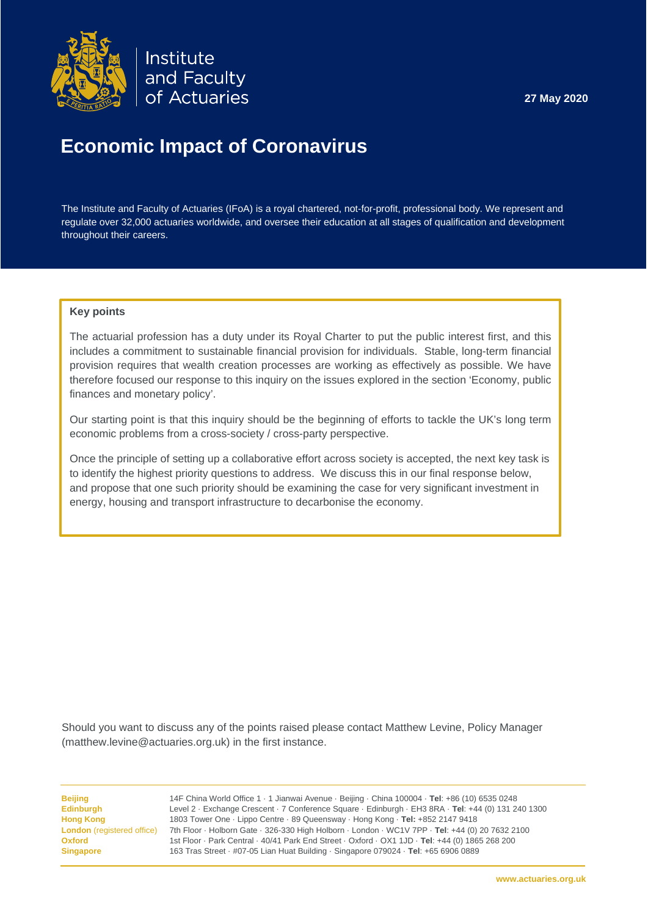

Institute and Faculty of Actuaries

# **Economic Impact of Coronavirus**

The Institute and Faculty of Actuaries (IFoA) is a royal chartered, not-for-profit, professional body. We represent and regulate over 32,000 actuaries worldwide, and oversee their education at all stages of qualification and development throughout their careers.

#### **Key points**

The actuarial profession has a duty under its Royal Charter to put the public interest first, and this includes a commitment to sustainable financial provision for individuals. Stable, long-term financial provision requires that wealth creation processes are working as effectively as possible. We have therefore focused our response to this inquiry on the issues explored in the section 'Economy, public finances and monetary policy'.

Our starting point is that this inquiry should be the beginning of efforts to tackle the UK's long term economic problems from a cross-society / cross-party perspective.

Once the principle of setting up a collaborative effort across society is accepted, the next key task is to identify the highest priority questions to address. We discuss this in our final response below, and propose that one such priority should be examining the case for very significant investment in energy, housing and transport infrastructure to decarbonise the economy.

Should you want to discuss any of the points raised please contact Matthew Levine, Policy Manager (matthew.levine@actuaries.org.uk) in the first instance.

<span id="page-0-0"></span>**Beijing** 14F China World Office 1 · 1 Jianwai Avenue · Beijing · China 100004 · **Tel**: +86 (10) 6535 0248 **Edinburgh** Level 2 · Exchange Crescent · 7 Conference Square · Edinburgh · EH3 8RA · **Tel**: +44 (0) 131 240 1300 **Hong Kong** 1803 Tower One · Lippo Centre · 89 Queensway · Hong Kong · **Tel:** +852 2147 9418 **London** (registered office) 7th Floor · Holborn Gate · 326-330 High Holborn · London · WC1V 7PP · **Tel**: +44 (0) 20 7632 2100 **Oxford** 1st Floor · Park Central · 40/41 Park End Street · Oxford · OX1 1JD · **Tel**: +44 (0) 1865 268 200 **Singapore** 163 Tras Street · #07-05 Lian Huat Building · Singapore 079024 · **Tel**: +65 6906 0889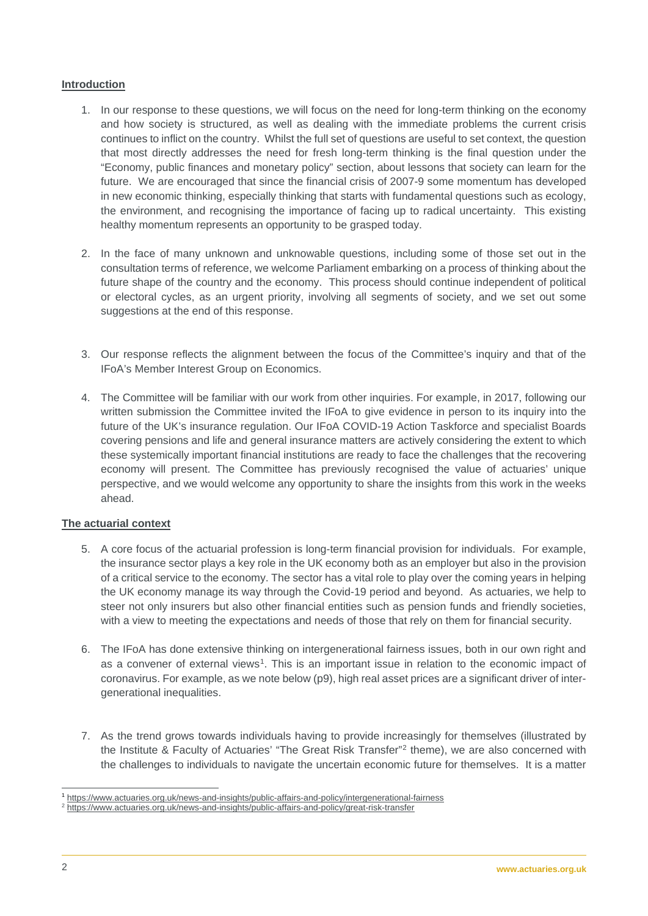# **Introduction**

- 1. In our response to these questions, we will focus on the need for long-term thinking on the economy and how society is structured, as well as dealing with the immediate problems the current crisis continues to inflict on the country. Whilst the full set of questions are useful to set context, the question that most directly addresses the need for fresh long-term thinking is the final question under the "Economy, public finances and monetary policy" section, about lessons that society can learn for the future. We are encouraged that since the financial crisis of 2007-9 some momentum has developed in new economic thinking, especially thinking that starts with fundamental questions such as ecology, the environment, and recognising the importance of facing up to radical uncertainty. This existing healthy momentum represents an opportunity to be grasped today.
- 2. In the face of many unknown and unknowable questions, including some of those set out in the consultation terms of reference, we welcome Parliament embarking on a process of thinking about the future shape of the country and the economy. This process should continue independent of political or electoral cycles, as an urgent priority, involving all segments of society, and we set out some suggestions at the end of this response.
- 3. Our response reflects the alignment between the focus of the Committee's inquiry and that of the IFoA's Member Interest Group on Economics.
- 4. The Committee will be familiar with our work from other inquiries. For example, in 2017, following our written submission the Committee invited the IFoA to give evidence in person to its inquiry into the future of the UK's insurance regulation. Our IFoA COVID-19 Action Taskforce and specialist Boards covering pensions and life and general insurance matters are actively considering the extent to which these systemically important financial institutions are ready to face the challenges that the recovering economy will present. The Committee has previously recognised the value of actuaries' unique perspective, and we would welcome any opportunity to share the insights from this work in the weeks ahead.

## **The actuarial context**

- 5. A core focus of the actuarial profession is long-term financial provision for individuals. For example, the insurance sector plays a key role in the UK economy both as an employer but also in the provision of a critical service to the economy. The sector has a vital role to play over the coming years in helping the UK economy manage its way through the Covid-19 period and beyond. As actuaries, we help to steer not only insurers but also other financial entities such as pension funds and friendly societies, with a view to meeting the expectations and needs of those that rely on them for financial security.
- 6. The IFoA has done extensive thinking on intergenerational fairness issues, both in our own right and as a convener of external views<sup>1</sup>. This is an important issue in relation to the economic impact of coronavirus. For example, as we note below (p9), high real asset prices are a significant driver of intergenerational inequalities.
- 7. As the trend grows towards individuals having to provide increasingly for themselves (illustrated by the Institute & Faculty of Actuaries' "The Great Risk Transfer"[2](#page-1-0) theme), we are also concerned with the challenges to individuals to navigate the uncertain economic future for themselves. It is a matter

 <sup>1</sup> <https://www.actuaries.org.uk/news-and-insights/public-affairs-and-policy/intergenerational-fairness>

<span id="page-1-0"></span><sup>2</sup> <https://www.actuaries.org.uk/news-and-insights/public-affairs-and-policy/great-risk-transfer>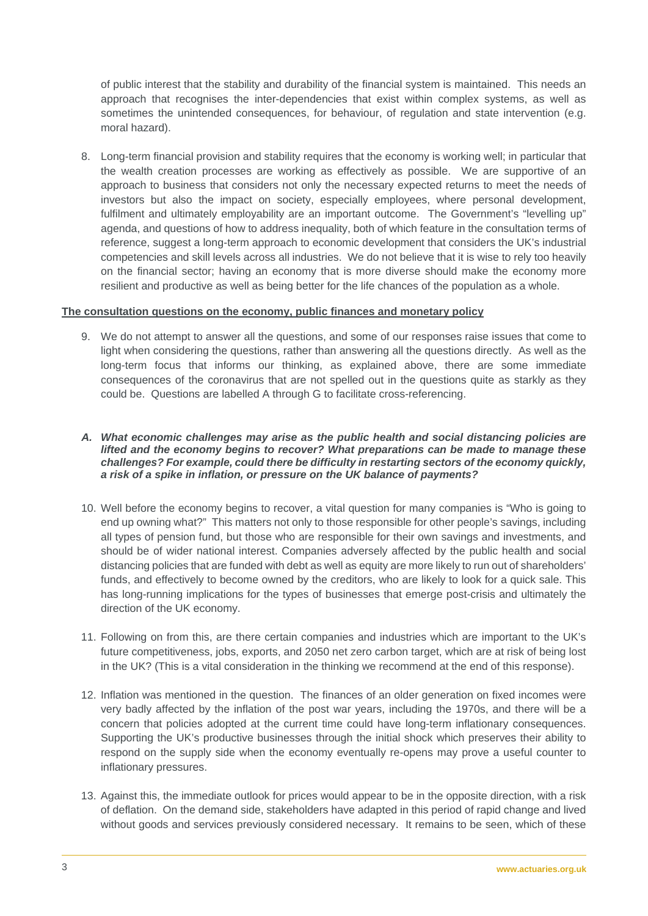of public interest that the stability and durability of the financial system is maintained. This needs an approach that recognises the inter-dependencies that exist within complex systems, as well as sometimes the unintended consequences, for behaviour, of regulation and state intervention (e.g. moral hazard).

8. Long-term financial provision and stability requires that the economy is working well; in particular that the wealth creation processes are working as effectively as possible. We are supportive of an approach to business that considers not only the necessary expected returns to meet the needs of investors but also the impact on society, especially employees, where personal development, fulfilment and ultimately employability are an important outcome. The Government's "levelling up" agenda, and questions of how to address inequality, both of which feature in the consultation terms of reference, suggest a long-term approach to economic development that considers the UK's industrial competencies and skill levels across all industries. We do not believe that it is wise to rely too heavily on the financial sector; having an economy that is more diverse should make the economy more resilient and productive as well as being better for the life chances of the population as a whole.

#### **The consultation questions on the economy, public finances and monetary policy**

9. We do not attempt to answer all the questions, and some of our responses raise issues that come to light when considering the questions, rather than answering all the questions directly. As well as the long-term focus that informs our thinking, as explained above, there are some immediate consequences of the coronavirus that are not spelled out in the questions quite as starkly as they could be. Questions are labelled A through G to facilitate cross-referencing.

#### *A. What economic challenges may arise as the public health and social distancing policies are lifted and the economy begins to recover? What preparations can be made to manage these challenges? For example, could there be difficulty in restarting sectors of the economy quickly, a risk of a spike in inflation, or pressure on the UK balance of payments?*

- 10. Well before the economy begins to recover, a vital question for many companies is "Who is going to end up owning what?" This matters not only to those responsible for other people's savings, including all types of pension fund, but those who are responsible for their own savings and investments, and should be of wider national interest. Companies adversely affected by the public health and social distancing policies that are funded with debt as well as equity are more likely to run out of shareholders' funds, and effectively to become owned by the creditors, who are likely to look for a quick sale. This has long-running implications for the types of businesses that emerge post-crisis and ultimately the direction of the UK economy.
- 11. Following on from this, are there certain companies and industries which are important to the UK's future competitiveness, jobs, exports, and 2050 net zero carbon target, which are at risk of being lost in the UK? (This is a vital consideration in the thinking we recommend at the end of this response).
- 12. Inflation was mentioned in the question. The finances of an older generation on fixed incomes were very badly affected by the inflation of the post war years, including the 1970s, and there will be a concern that policies adopted at the current time could have long-term inflationary consequences. Supporting the UK's productive businesses through the initial shock which preserves their ability to respond on the supply side when the economy eventually re-opens may prove a useful counter to inflationary pressures.
- 13. Against this, the immediate outlook for prices would appear to be in the opposite direction, with a risk of deflation. On the demand side, stakeholders have adapted in this period of rapid change and lived without goods and services previously considered necessary. It remains to be seen, which of these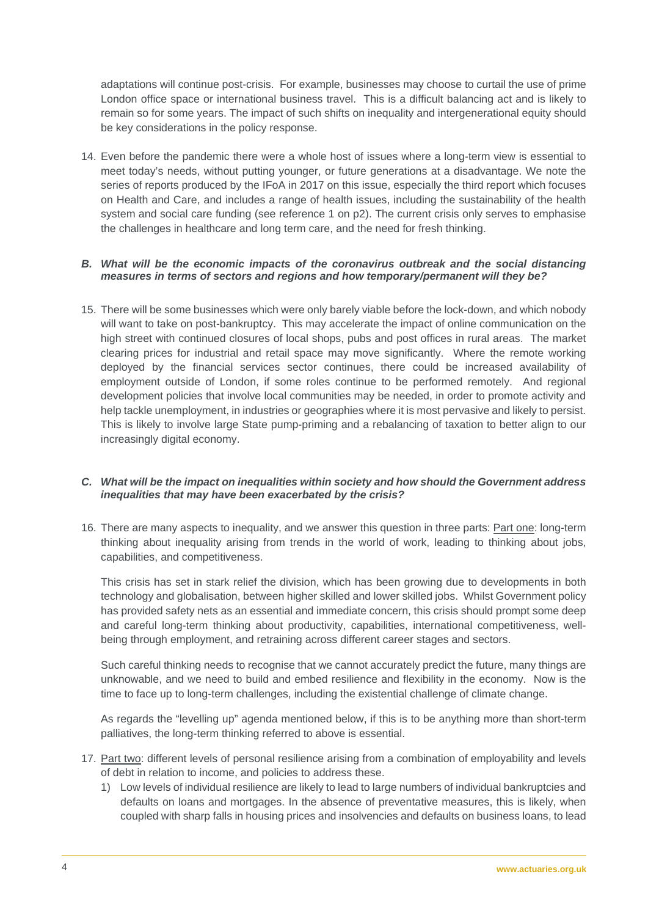adaptations will continue post-crisis. For example, businesses may choose to curtail the use of prime London office space or international business travel. This is a difficult balancing act and is likely to remain so for some years. The impact of such shifts on inequality and intergenerational equity should be key considerations in the policy response.

14. Even before the pandemic there were a whole host of issues where a long-term view is essential to meet today's needs, without putting younger, or future generations at a disadvantage. We note the series of reports produced by the IFoA in 2017 on this issue, especially the third report which focuses on Health and Care, and includes a range of health issues, including the sustainability of the health system and social care funding (see reference 1 on p2). The current crisis only serves to emphasise the challenges in healthcare and long term care, and the need for fresh thinking.

#### *B. What will be the economic impacts of the coronavirus outbreak and the social distancing measures in terms of sectors and regions and how temporary/permanent will they be?*

15. There will be some businesses which were only barely viable before the lock-down, and which nobody will want to take on post-bankruptcy. This may accelerate the impact of online communication on the high street with continued closures of local shops, pubs and post offices in rural areas. The market clearing prices for industrial and retail space may move significantly. Where the remote working deployed by the financial services sector continues, there could be increased availability of employment outside of London, if some roles continue to be performed remotely. And regional development policies that involve local communities may be needed, in order to promote activity and help tackle unemployment, in industries or geographies where it is most pervasive and likely to persist. This is likely to involve large State pump-priming and a rebalancing of taxation to better align to our increasingly digital economy.

#### *C. What will be the impact on inequalities within society and how should the Government address inequalities that may have been exacerbated by the crisis?*

16. There are many aspects to inequality, and we answer this question in three parts: Part one: long-term thinking about inequality arising from trends in the world of work, leading to thinking about jobs, capabilities, and competitiveness.

This crisis has set in stark relief the division, which has been growing due to developments in both technology and globalisation, between higher skilled and lower skilled jobs. Whilst Government policy has provided safety nets as an essential and immediate concern, this crisis should prompt some deep and careful long-term thinking about productivity, capabilities, international competitiveness, wellbeing through employment, and retraining across different career stages and sectors.

Such careful thinking needs to recognise that we cannot accurately predict the future, many things are unknowable, and we need to build and embed resilience and flexibility in the economy. Now is the time to face up to long-term challenges, including the existential challenge of climate change.

As regards the "levelling up" agenda mentioned below, if this is to be anything more than short-term palliatives, the long-term thinking referred to above is essential.

- 17. Part two: different levels of personal resilience arising from a combination of employability and levels of debt in relation to income, and policies to address these.
	- 1) Low levels of individual resilience are likely to lead to large numbers of individual bankruptcies and defaults on loans and mortgages. In the absence of preventative measures, this is likely, when coupled with sharp falls in housing prices and insolvencies and defaults on business loans, to lead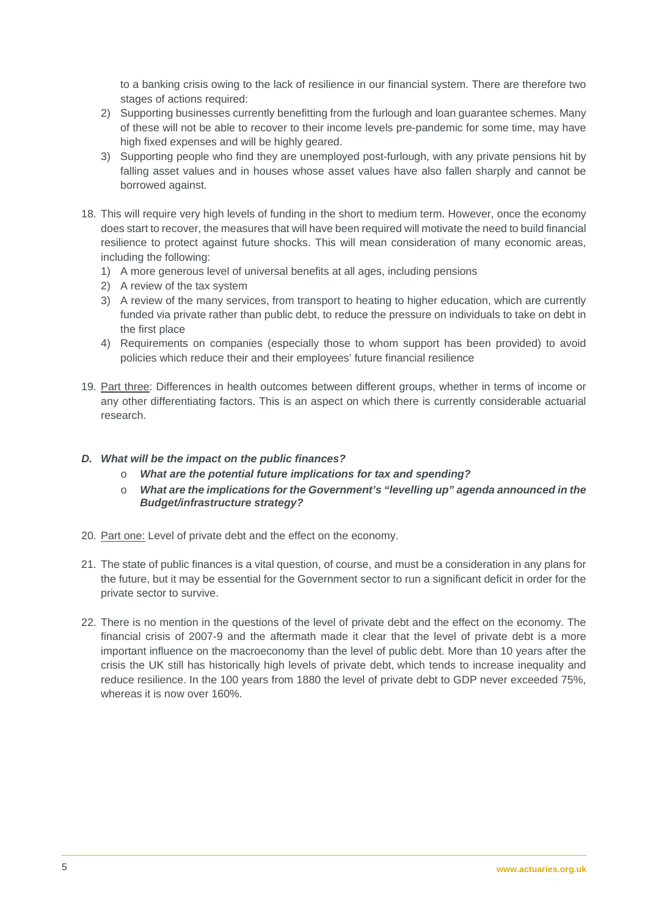to a banking crisis owing to the lack of resilience in our financial system. There are therefore two stages of actions required:

- 2) Supporting businesses currently benefitting from the furlough and loan guarantee schemes. Many of these will not be able to recover to their income levels pre-pandemic for some time, may have high fixed expenses and will be highly geared.
- 3) Supporting people who find they are unemployed post-furlough, with any private pensions hit by falling asset values and in houses whose asset values have also fallen sharply and cannot be borrowed against.
- 18. This will require very high levels of funding in the short to medium term. However, once the economy does start to recover, the measures that will have been required will motivate the need to build financial resilience to protect against future shocks. This will mean consideration of many economic areas, including the following:
	- 1) A more generous level of universal benefits at all ages, including pensions
	- 2) A review of the tax system
	- 3) A review of the many services, from transport to heating to higher education, which are currently funded via private rather than public debt, to reduce the pressure on individuals to take on debt in the first place
	- 4) Requirements on companies (especially those to whom support has been provided) to avoid policies which reduce their and their employees' future financial resilience
- 19. Part three: Differences in health outcomes between different groups, whether in terms of income or any other differentiating factors. This is an aspect on which there is currently considerable actuarial research.
- *D. What will be the impact on the public finances?*
	- o *What are the potential future implications for tax and spending?*
	- o *What are the implications for the Government's "levelling up" agenda announced in the Budget/infrastructure strategy?*
- 20. Part one: Level of private debt and the effect on the economy.
- 21. The state of public finances is a vital question, of course, and must be a consideration in any plans for the future, but it may be essential for the Government sector to run a significant deficit in order for the private sector to survive.
- 22. There is no mention in the questions of the level of private debt and the effect on the economy. The financial crisis of 2007-9 and the aftermath made it clear that the level of private debt is a more important influence on the macroeconomy than the level of public debt. More than 10 years after the crisis the UK still has historically high levels of private debt, which tends to increase inequality and reduce resilience. In the 100 years from 1880 the level of private debt to GDP never exceeded 75%, whereas it is now over 160%.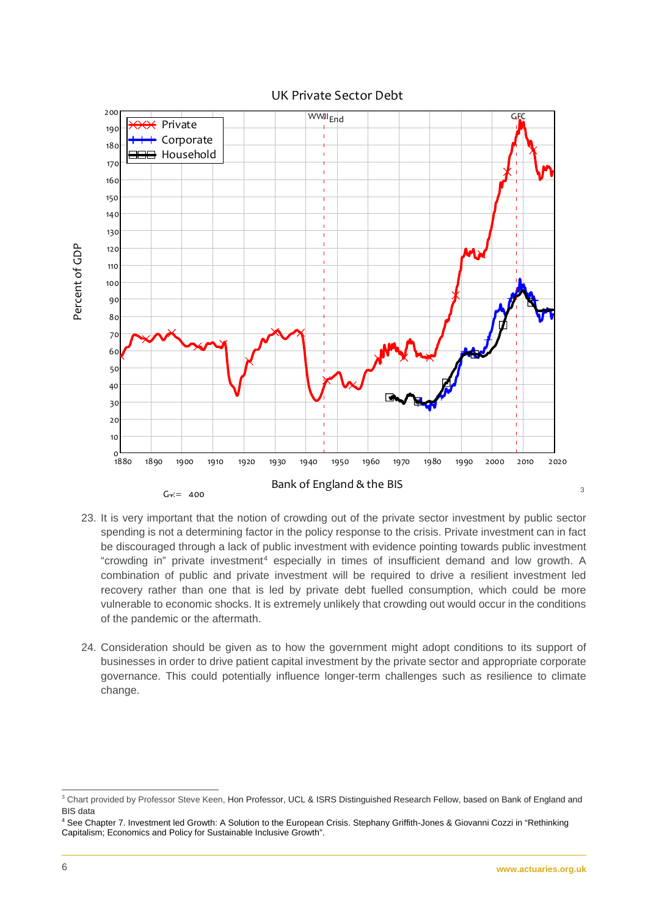

UK Private Sector Debt

- 23. It is very important that the notion of crowding out of the private sector investment by public sector spending is not a determining factor in the policy response to the crisis. Private investment can in fact be discouraged through a lack of public investment with evidence pointing towards public investment "crowding in" private investment[4](#page-5-1) especially in times of insufficient demand and low growth. A combination of public and private investment will be required to drive a resilient investment led recovery rather than one that is led by private debt fuelled consumption, which could be more vulnerable to economic shocks. It is extremely unlikely that crowding out would occur in the conditions of the pandemic or the aftermath.
- 24. Consideration should be given as to how the government might adopt conditions to its support of businesses in order to drive patient capital investment by the private sector and appropriate corporate governance. This could potentially influence longer-term challenges such as resilience to climate change.

[3](#page-5-0)

<span id="page-5-0"></span><sup>&</sup>lt;sup>3</sup> Chart provided by Professor Steve Keen, Hon Professor, UCL & ISRS Distinguished Research Fellow, based on Bank of England and BIS data

<span id="page-5-1"></span><sup>4</sup> See Chapter 7. Investment led Growth: A Solution to the European Crisis. Stephany Griffith-Jones & Giovanni Cozzi in "Rethinking Capitalism; Economics and Policy for Sustainable Inclusive Growth".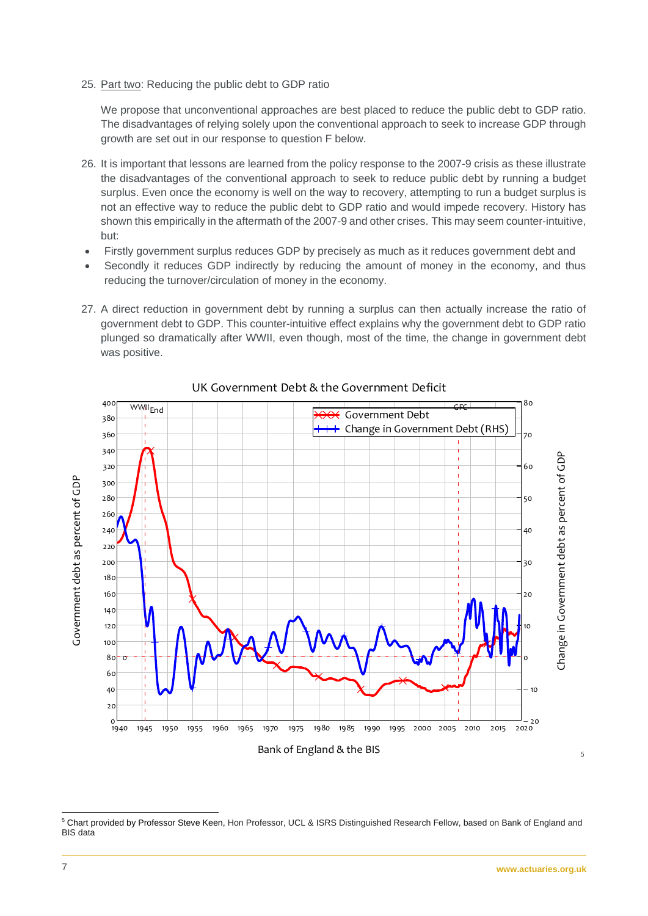25. Part two: Reducing the public debt to GDP ratio

We propose that unconventional approaches are best placed to reduce the public debt to GDP ratio. The disadvantages of relying solely upon the conventional approach to seek to increase GDP through growth are set out in our response to question [F](#page-8-0) below.

- 26. It is important that lessons are learned from the policy response to the 2007-9 crisis as these illustrate the disadvantages of the conventional approach to seek to reduce public debt by running a budget surplus. Even once the economy is well on the way to recovery, attempting to run a budget surplus is not an effective way to reduce the public debt to GDP ratio and would impede recovery. History has shown this empirically in the aftermath of the 2007-9 and other crises. This may seem counter-intuitive, but:
- Firstly government surplus reduces GDP by precisely as much as it reduces government debt and
- Secondly it reduces GDP indirectly by reducing the amount of money in the economy, and thus reducing the turnover/circulation of money in the economy.
- 27. A direct reduction in government debt by running a surplus can then actually increase the ratio of government debt to GDP. This counter-intuitive effect explains why the government debt to GDP ratio plunged so dramatically after WWII, even though, most of the time, the change in government debt was positive.



# UK Government Debt & the Government Deficit

[5](#page-6-0)

<span id="page-6-0"></span> <sup>5</sup> Chart provided by Professor Steve Keen, Hon Professor, UCL & ISRS Distinguished Research Fellow, based on Bank of England and BIS data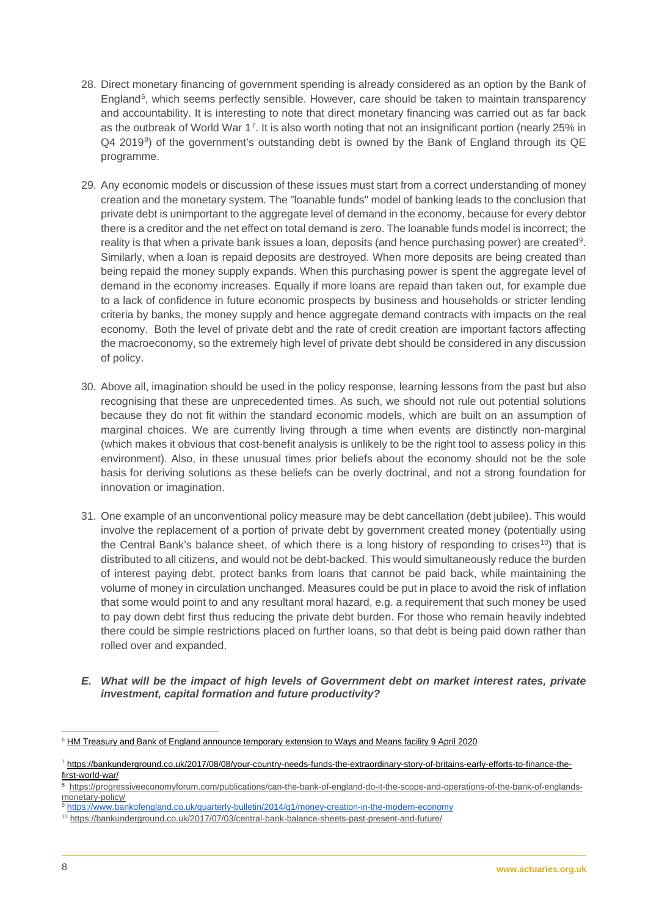- 28. Direct monetary financing of government spending is already considered as an option by the Bank of England<sup>6</sup>, which seems perfectly sensible. However, care should be taken to maintain transparency and accountability. It is interesting to note that direct monetary financing was carried out as far back as the outbreak of World War 1[7.](#page-7-1) It is also worth noting that not an insignificant portion (nearly 25% in  $Q4$  2019<sup>[8](#page-7-2)</sup>) of the government's outstanding debt is owned by the Bank of England through its  $QE$ programme.
- 29. Any economic models or discussion of these issues must start from a correct understanding of money creation and the monetary system. The "loanable funds" model of banking leads to the conclusion that private debt is unimportant to the aggregate level of demand in the economy, because for every debtor there is a creditor and the net effect on total demand is zero. The loanable funds model is incorrect; the reality is that when a private bank issues a loan, deposits (and hence purchasing power) are created<sup>9</sup>. Similarly, when a loan is repaid deposits are destroyed. When more deposits are being created than being repaid the money supply expands. When this purchasing power is spent the aggregate level of demand in the economy increases. Equally if more loans are repaid than taken out, for example due to a lack of confidence in future economic prospects by business and households or stricter lending criteria by banks, the money supply and hence aggregate demand contracts with impacts on the real economy. Both the level of private debt and the rate of credit creation are important factors affecting the macroeconomy, so the extremely high level of private debt should be considered in any discussion of policy.
- 30. Above all, imagination should be used in the policy response, learning lessons from the past but also recognising that these are unprecedented times. As such, we should not rule out potential solutions because they do not fit within the standard economic models, which are built on an assumption of marginal choices. We are currently living through a time when events are distinctly non-marginal (which makes it obvious that cost-benefit analysis is unlikely to be the right tool to assess policy in this environment). Also, in these unusual times prior beliefs about the economy should not be the sole basis for deriving solutions as these beliefs can be overly doctrinal, and not a strong foundation for innovation or imagination.
- 31. One example of an unconventional policy measure may be debt cancellation (debt jubilee). This would involve the replacement of a portion of private debt by government created money (potentially using the Central Bank's balance sheet, of which there is a long history of responding to crises<sup>10</sup>) that is distributed to all citizens, and would not be debt-backed. This would simultaneously reduce the burden of interest paying debt, protect banks from loans that cannot be paid back, while maintaining the volume of money in circulation unchanged. Measures could be put in place to avoid the risk of inflation that some would point to and any resultant moral hazard, e.g. a requirement that such money be used to pay down debt first thus reducing the private debt burden. For those who remain heavily indebted there could be simple restrictions placed on further loans, so that debt is being paid down rather than rolled over and expanded.
- *E. What will be the impact of high levels of Government debt on market interest rates, private investment, capital formation and future productivity?*

<span id="page-7-0"></span><sup>&</sup>lt;sup>6</sup> [HM Treasury and Bank of England announce temporary extension to Ways and Means facility 9 April 2020](https://www.bankofengland.co.uk/-/media/boe/files/news/2020/april/hmt-and-boe-announce-temporary-extension-to-ways-and-means-facility.pdf?la=en&hash=974CAE1A89719CFB8CAAC7233C95842E2B763895)

<span id="page-7-1"></span><sup>7</sup> [https://bankunderground.co.uk/2017/08/08/your-country-needs-funds-the-extraordinary-story-of-britains-early-efforts-to-finance-the](https://bankunderground.co.uk/2017/08/08/your-country-needs-funds-the-extraordinary-story-of-britains-early-efforts-to-finance-the-first-world-war/)[first-world-war/](https://bankunderground.co.uk/2017/08/08/your-country-needs-funds-the-extraordinary-story-of-britains-early-efforts-to-finance-the-first-world-war/)

<span id="page-7-2"></span><sup>8</sup> [https://progressiveeconomyforum.com/publications/can-the-bank-of-england-do-it-the-scope-and-operations-of-the-bank-of-englands](https://progressiveeconomyforum.com/publications/can-the-bank-of-england-do-it-the-scope-and-operations-of-the-bank-of-englands-monetary-policy/)[monetary-policy/](https://progressiveeconomyforum.com/publications/can-the-bank-of-england-do-it-the-scope-and-operations-of-the-bank-of-englands-monetary-policy/)

<span id="page-7-3"></span><sup>9</sup> <https://www.bankofengland.co.uk/quarterly-bulletin/2014/q1/money-creation-in-the-modern-economy>

<span id="page-7-4"></span><sup>10</sup> <https://bankunderground.co.uk/2017/07/03/central-bank-balance-sheets-past-present-and-future/>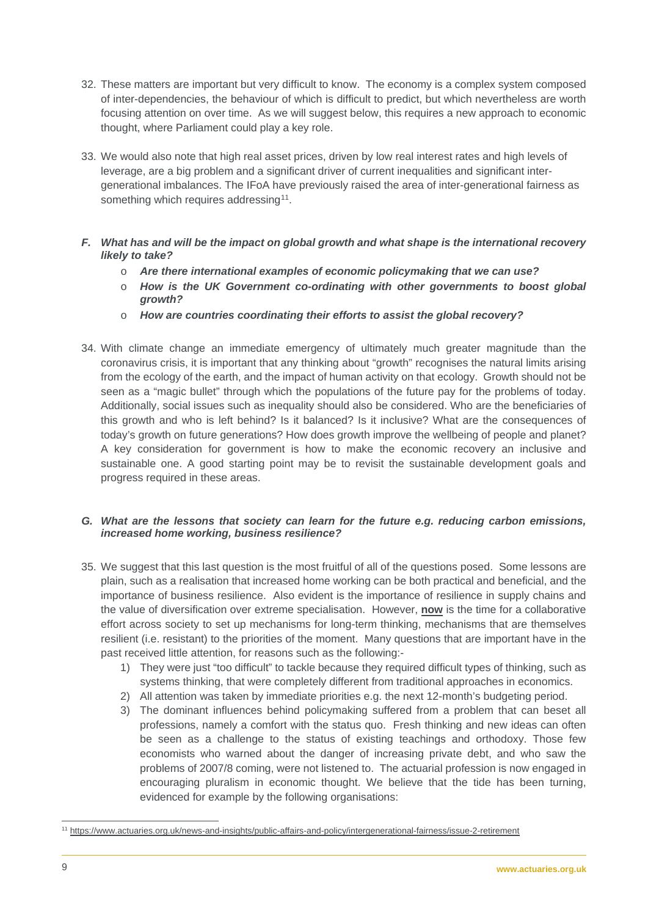- 32. These matters are important but very difficult to know. The economy is a complex system composed of inter-dependencies, the behaviour of which is difficult to predict, but which nevertheless are worth focusing attention on over time. As we will suggest below, this requires a new approach to economic thought, where Parliament could play a key role.
- 33. We would also note that high real asset prices, driven by low real interest rates and high levels of leverage, are a big problem and a significant driver of current inequalities and significant intergenerational imbalances. The IFoA have previously raised the area of inter-generational fairness as something which requires addressing<sup>[11](#page-8-1)</sup>.
- <span id="page-8-0"></span>*F. What has and will be the impact on global growth and what shape is the international recovery likely to take?*
	- o *Are there international examples of economic policymaking that we can use?*
	- o *How is the UK Government co-ordinating with other governments to boost global growth?*
	- o *How are countries coordinating their efforts to assist the global recovery?*
- 34. With climate change an immediate emergency of ultimately much greater magnitude than the coronavirus crisis, it is important that any thinking about "growth" recognises the natural limits arising from the ecology of the earth, and the impact of human activity on that ecology. Growth should not be seen as a "magic bullet" through which the populations of the future pay for the problems of today. Additionally, social issues such as inequality should also be considered. Who are the beneficiaries of this growth and who is left behind? Is it balanced? Is it inclusive? What are the consequences of today's growth on future generations? How does growth improve the wellbeing of people and planet? A key consideration for government is how to make the economic recovery an inclusive and sustainable one. A good starting point may be to revisit the sustainable development goals and progress required in these areas.

## *G. What are the lessons that society can learn for the future e.g. reducing carbon emissions, increased home working, business resilience?*

- 35. We suggest that this last question is the most fruitful of all of the questions posed. Some lessons are plain, such as a realisation that increased home working can be both practical and beneficial, and the importance of business resilience. Also evident is the importance of resilience in supply chains and the value of diversification over extreme specialisation. However, **now** is the time for a collaborative effort across society to set up mechanisms for long-term thinking, mechanisms that are themselves resilient (i.e. resistant) to the priorities of the moment. Many questions that are important have in the past received little attention, for reasons such as the following:-
	- 1) They were just "too difficult" to tackle because they required difficult types of thinking, such as systems thinking, that were completely different from traditional approaches in economics.
	- 2) All attention was taken by immediate priorities e.g. the next 12-month's budgeting period.
	- 3) The dominant influences behind policymaking suffered from a problem that can beset all professions, namely a comfort with the status quo. Fresh thinking and new ideas can often be seen as a challenge to the status of existing teachings and orthodoxy. Those few economists who warned about the danger of increasing private debt, and who saw the problems of 2007/8 coming, were not listened to. The actuarial profession is now engaged in encouraging pluralism in economic thought. We believe that the tide has been turning, evidenced for example by the following organisations:

<span id="page-8-1"></span> <sup>11</sup> <https://www.actuaries.org.uk/news-and-insights/public-affairs-and-policy/intergenerational-fairness/issue-2-retirement>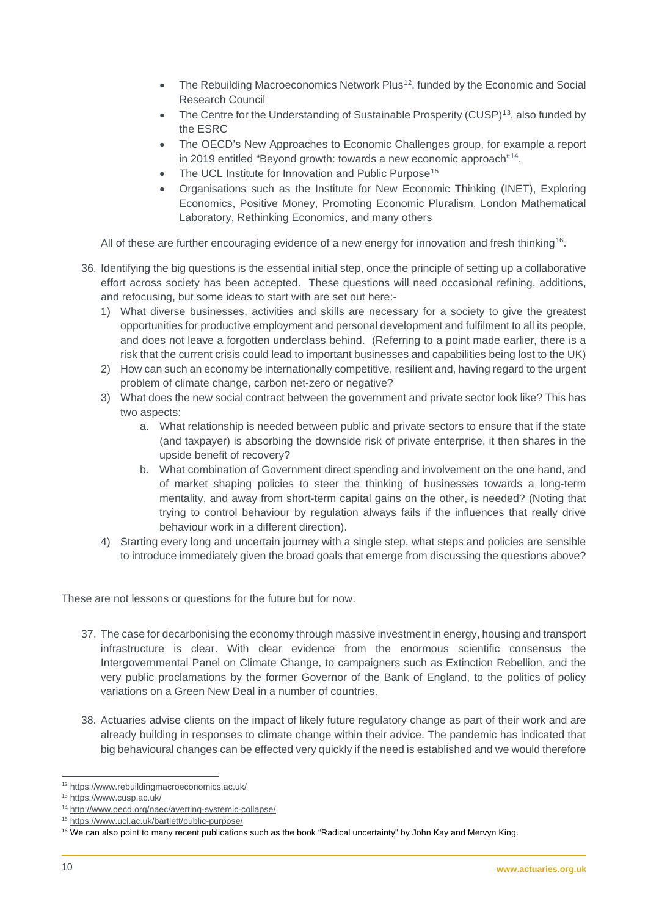- The Rebuilding Macroeconomics Network Plus<sup>[12](#page-9-0)</sup>, funded by the Economic and Social Research Council
- The Centre for the Understanding of Sustainable Prosperity (CUSP)<sup>[13](#page-9-1)</sup>, also funded by the ESRC
- The OECD's New Approaches to Economic Challenges group, for example a report in 2019 entitled "Beyond growth: towards a new economic approach"[14](#page-9-2).
- The UCL Institute for Innovation and Public Purpose<sup>[15](#page-9-3)</sup>
- Organisations such as the Institute for New Economic Thinking (INET), Exploring Economics, Positive Money, Promoting Economic Pluralism, London Mathematical Laboratory, Rethinking Economics, and many others

All of these are further encouraging evidence of a new energy for innovation and fresh thinking<sup>16</sup>.

- 36. Identifying the big questions is the essential initial step, once the principle of setting up a collaborative effort across society has been accepted. These questions will need occasional refining, additions, and refocusing, but some ideas to start with are set out here:-
	- 1) What diverse businesses, activities and skills are necessary for a society to give the greatest opportunities for productive employment and personal development and fulfilment to all its people, and does not leave a forgotten underclass behind. (Referring to a point made earlier, there is a risk that the current crisis could lead to important businesses and capabilities being lost to the UK)
	- 2) How can such an economy be internationally competitive, resilient and, having regard to the urgent problem of climate change, carbon net-zero or negative?
	- 3) What does the new social contract between the government and private sector look like? This has two aspects:
		- a. What relationship is needed between public and private sectors to ensure that if the state (and taxpayer) is absorbing the downside risk of private enterprise, it then shares in the upside benefit of recovery?
		- b. What combination of Government direct spending and involvement on the one hand, and of market shaping policies to steer the thinking of businesses towards a long-term mentality, and away from short-term capital gains on the other, is needed? (Noting that trying to control behaviour by regulation always fails if the influences that really drive behaviour work in a different direction).
	- 4) Starting every long and uncertain journey with a single step, what steps and policies are sensible to introduce immediately given the broad goals that emerge from discussing the questions above?

These are not lessons or questions for the future but for now.

- 37. The case for decarbonising the economy through massive investment in energy, housing and transport infrastructure is clear. With clear evidence from the enormous scientific consensus the Intergovernmental Panel on Climate Change, to campaigners such as Extinction Rebellion, and the very public proclamations by the [former Governor of the Bank of England,](https://www.bbc.co.uk/news/science-environment-52582243) to the politics of policy variations on a Green New Deal in a number of countries.
- 38. Actuaries advise clients on the impact of likely future regulatory change as part of their work and are [already building in responses to climate change within their advice.](https://www.actuaries.org.uk/system/files/field/document/Risk%20Alert%20-%20Climate%20Change%20FINAL.pdf) The pandemic has indicated that big behavioural changes can be effected very quickly if the need is established and we would therefore

<span id="page-9-0"></span> <sup>12</sup> <https://www.rebuildingmacroeconomics.ac.uk/>

<span id="page-9-1"></span><sup>13</sup> <https://www.cusp.ac.uk/>

<span id="page-9-2"></span><sup>14</sup> <http://www.oecd.org/naec/averting-systemic-collapse/>

<span id="page-9-3"></span><sup>15</sup> <https://www.ucl.ac.uk/bartlett/public-purpose/>

<span id="page-9-4"></span><sup>&</sup>lt;sup>16</sup> We can also point to many recent publications such as the book "Radical uncertainty" by John Kay and Mervyn King.